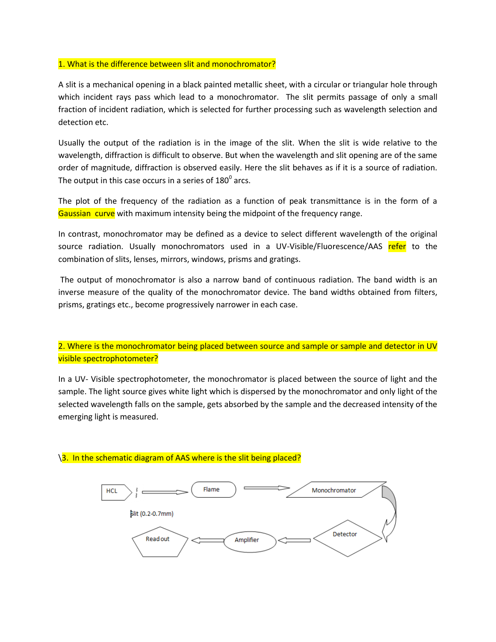## 1. What is the difference between slit and monochromator?

A slit is a mechanical opening in a black painted metallic sheet, with a circular or triangular hole through which incident rays pass which lead to a monochromator. The slit permits passage of only a small fraction of incident radiation, which is selected for further processing such as wavelength selection and detection etc.

Usually the output of the radiation is in the image of the slit. When the slit is wide relative to the wavelength, diffraction is difficult to observe. But when the wavelength and slit opening are of the same order of magnitude, diffraction is observed easily. Here the slit behaves as if it is a source of radiation. The output in this case occurs in a series of 180 $^{\rm 0}$  arcs.

The plot of the frequency of the radiation as a function of peak transmittance is in the form of a Gaussian curve with maximum intensity being the midpoint of the frequency range.

In contrast, monochromator may be defined as a device to select different wavelength of the original source radiation. Usually monochromators used in a UV-Visible/Fluorescence/AAS refer to the combination of slits, lenses, mirrors, windows, prisms and gratings.

The output of monochromator is also a narrow band of continuous radiation. The band width is an inverse measure of the quality of the monochromator device. The band widths obtained from filters, prisms, gratings etc., become progressively narrower in each case.

2. Where is the monochromator being placed between source and sample or sample and detector in UV visible spectrophotometer?

In a UV- Visible spectrophotometer, the monochromator is placed between the source of light and the sample. The light source gives white light which is dispersed by the monochromator and only light of the selected wavelength falls on the sample, gets absorbed by the sample and the decreased intensity of the emerging light is measured.



## \3. In the schematic diagram of AAS where is the slit being placed?